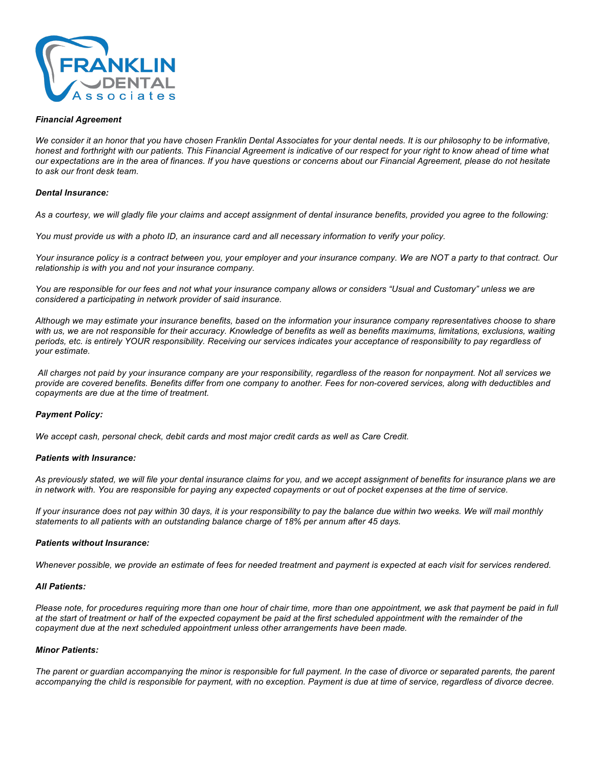

### *Financial Agreement*

*We consider it an honor that you have chosen Franklin Dental Associates for your dental needs. It is our philosophy to be informative, honest and forthright with our patients. This Financial Agreement is indicative of our respect for your right to know ahead of time what our expectations are in the area of finances. If you have questions or concerns about our Financial Agreement, please do not hesitate to ask our front desk team.* 

#### *Dental Insurance:*

*As a courtesy, we will gladly file your claims and accept assignment of dental insurance benefits, provided you agree to the following:* 

*You must provide us with a photo ID, an insurance card and all necessary information to verify your policy.*

*Your insurance policy is a contract between you, your employer and your insurance company. We are NOT a party to that contract. Our relationship is with you and not your insurance company.*

*You are responsible for our fees and not what your insurance company allows or considers "Usual and Customary" unless we are considered a participating in network provider of said insurance.*

*Although we may estimate your insurance benefits, based on the information your insurance company representatives choose to share with us, we are not responsible for their accuracy. Knowledge of benefits as well as benefits maximums, limitations, exclusions, waiting periods, etc. is entirely YOUR responsibility. Receiving our services indicates your acceptance of responsibility to pay regardless of your estimate.*

*All charges not paid by your insurance company are your responsibility, regardless of the reason for nonpayment. Not all services we provide are covered benefits. Benefits differ from one company to another. Fees for non-covered services, along with deductibles and copayments are due at the time of treatment.* 

# *Payment Policy:*

*We accept cash, personal check, debit cards and most major credit cards as well as Care Credit.*

#### *Patients with Insurance:*

*As previously stated, we will file your dental insurance claims for you, and we accept assignment of benefits for insurance plans we are in network with. You are responsible for paying any expected copayments or out of pocket expenses at the time of service.* 

*If your insurance does not pay within 30 days, it is your responsibility to pay the balance due within two weeks. We will mail monthly statements to all patients with an outstanding balance charge of 18% per annum after 45 days.*

#### *Patients without Insurance:*

*Whenever possible, we provide an estimate of fees for needed treatment and payment is expected at each visit for services rendered.* 

#### *All Patients:*

*Please note, for procedures requiring more than one hour of chair time, more than one appointment, we ask that payment be paid in full at the start of treatment or half of the expected copayment be paid at the first scheduled appointment with the remainder of the copayment due at the next scheduled appointment unless other arrangements have been made.* 

### *Minor Patients:*

*The parent or guardian accompanying the minor is responsible for full payment. In the case of divorce or separated parents, the parent*  accompanying the child is responsible for payment, with no exception. Payment is due at time of service, regardless of divorce decree.